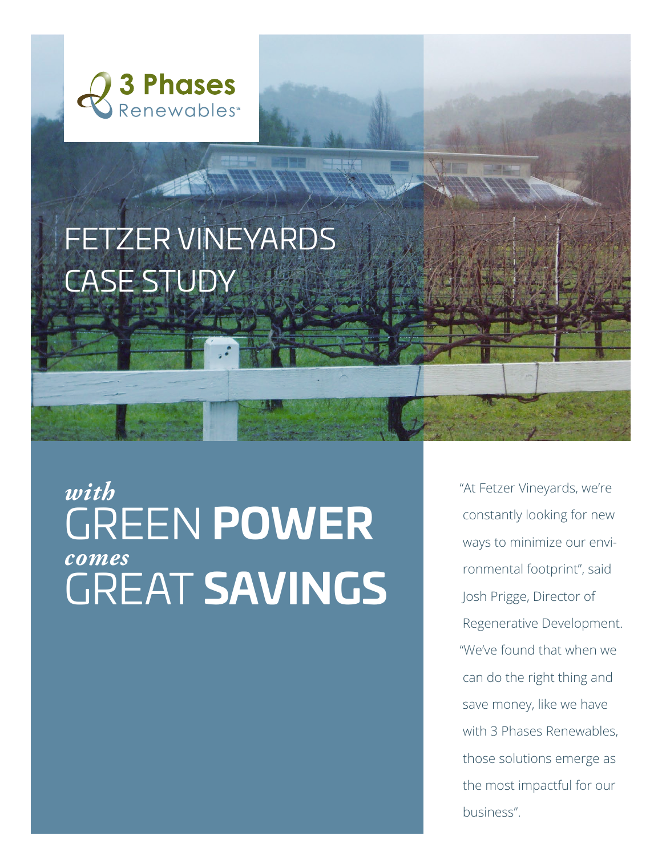

## FETZER VINEYARDS CASE STUDY

## *with*  GREEN **POWER** *comes* GREAT **SAVINGS**

"At Fetzer Vineyards, we're constantly looking for new ways to minimize our environmental footprint", said Josh Prigge, Director of Regenerative Development. "We've found that when we can do the right thing and save money, like we have with 3 Phases Renewables, those solutions emerge as the most impactful for our business".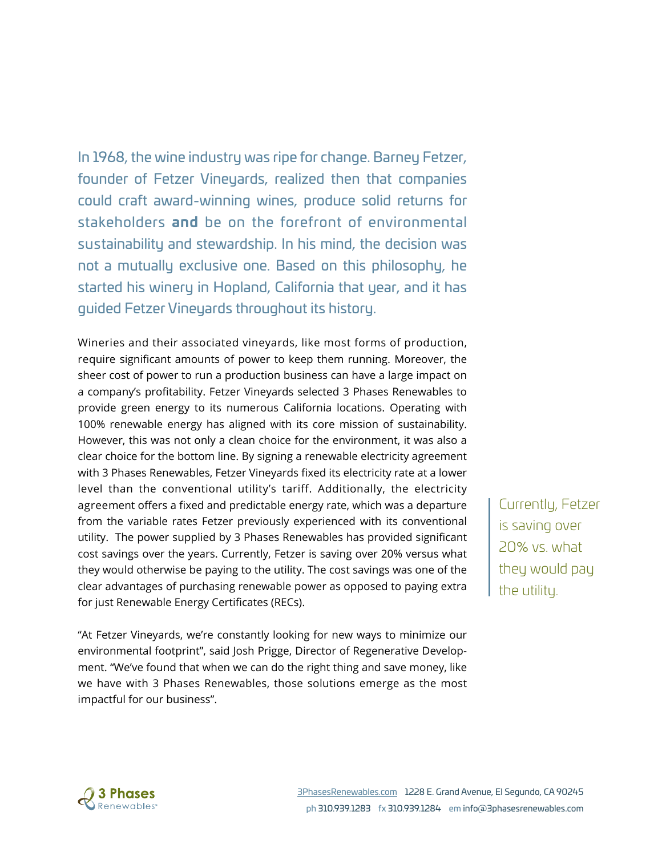In 1968, the wine industry was ripe for change. Barney Fetzer, founder of Fetzer Vineyards, realized then that companies could craft award-winning wines, produce solid returns for stakeholders **and** be on the forefront of environmental sustainability and stewardship. In his mind, the decision was not a mutually exclusive one. Based on this philosophy, he started his winery in Hopland, California that year, and it has guided Fetzer Vineyards throughout its history.

Wineries and their associated vineyards, like most forms of production, require significant amounts of power to keep them running. Moreover, the sheer cost of power to run a production business can have a large impact on a company's profitability. Fetzer Vineyards selected 3 Phases Renewables to provide green energy to its numerous California locations. Operating with 100% renewable energy has aligned with its core mission of sustainability. However, this was not only a clean choice for the environment, it was also a clear choice for the bottom line. By signing a renewable electricity agreement with 3 Phases Renewables, Fetzer Vineyards fixed its electricity rate at a lower level than the conventional utility's tariff. Additionally, the electricity agreement offers a fixed and predictable energy rate, which was a departure from the variable rates Fetzer previously experienced with its conventional utility. The power supplied by 3 Phases Renewables has provided significant cost savings over the years. Currently, Fetzer is saving over 20% versus what they would otherwise be paying to the utility. The cost savings was one of the clear advantages of purchasing renewable power as opposed to paying extra for just Renewable Energy Certificates (RECs).

"At Fetzer Vineyards, we're constantly looking for new ways to minimize our environmental footprint", said Josh Prigge, Director of Regenerative Development. "We've found that when we can do the right thing and save money, like we have with 3 Phases Renewables, those solutions emerge as the most impactful for our business".

Currently, Fetzer is saving over 20% vs. what they would pay the utility.